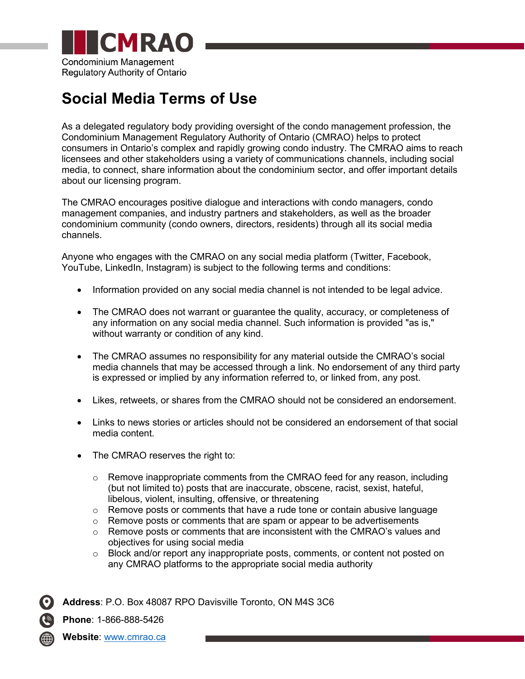

## **Social Media Terms of Use**

As a delegated regulatory body providing oversight of the condo management profession, the Condominium Management Regulatory Authority of Ontario (CMRAO) helps to protect consumers in Ontario's complex and rapidly growing condo industry. The CMRAO aims to reach licensees and other stakeholders using a variety of communications channels, including social media, to connect, share information about the condominium sector, and offer important details about our licensing program.

The CMRAO encourages positive dialogue and interactions with condo managers, condo management companies, and industry partners and stakeholders, as well as the broader condominium community (condo owners, directors, residents) through all its social media channels.

Anyone who engages with the CMRAO on any social media platform (Twitter, Facebook, YouTube, LinkedIn, Instagram) is subject to the following terms and conditions:

- Information provided on any social media channel is not intended to be legal advice.
- The CMRAO does not warrant or guarantee the quality, accuracy, or completeness of any information on any social media channel. Such information is provided "as is," without warranty or condition of any kind.
- The CMRAO assumes no responsibility for any material outside the CMRAO's social media channels that may be accessed through a link. No endorsement of any third party is expressed or implied by any information referred to, or linked from, any post.
- Likes, retweets, or shares from the CMRAO should not be considered an endorsement.
- Links to news stories or articles should not be considered an endorsement of that social media content.
- The CMRAO reserves the right to:
	- $\circ$  Remove inappropriate comments from the CMRAO feed for any reason, including (but not limited to) posts that are inaccurate, obscene, racist, sexist, hateful, libelous, violent, insulting, offensive, or threatening
	- $\circ$  Remove posts or comments that have a rude tone or contain abusive language
	- $\circ$  Remove posts or comments that are spam or appear to be advertisements
	- $\circ$  Remove posts or comments that are inconsistent with the CMRAO's values and objectives for using social media
	- $\circ$  Block and/or report any inappropriate posts, comments, or content not posted on any CMRAO platforms to the appropriate social media authority

**Address**: P.O. Box 48087 RPO Davisville Toronto, ON M4S 3C6

**Phone**: 1-866-888-5426

**Website**: [www.cmrao.ca](http://www.cmrao.ca/)